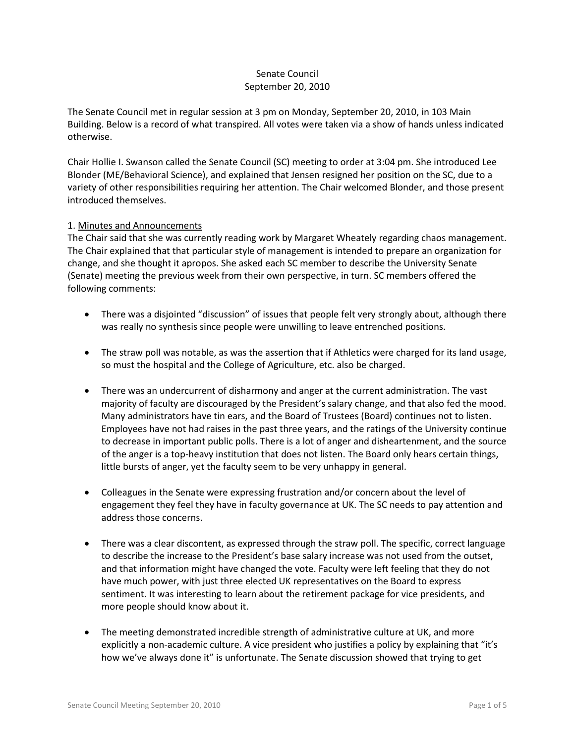# Senate Council September 20, 2010

The Senate Council met in regular session at 3 pm on Monday, September 20, 2010, in 103 Main Building. Below is a record of what transpired. All votes were taken via a show of hands unless indicated otherwise.

Chair Hollie I. Swanson called the Senate Council (SC) meeting to order at 3:04 pm. She introduced Lee Blonder (ME/Behavioral Science), and explained that Jensen resigned her position on the SC, due to a variety of other responsibilities requiring her attention. The Chair welcomed Blonder, and those present introduced themselves.

## 1. Minutes and Announcements

The Chair said that she was currently reading work by Margaret Wheately regarding chaos management. The Chair explained that that particular style of management is intended to prepare an organization for change, and she thought it apropos. She asked each SC member to describe the University Senate (Senate) meeting the previous week from their own perspective, in turn. SC members offered the following comments:

- There was a disjointed "discussion" of issues that people felt very strongly about, although there was really no synthesis since people were unwilling to leave entrenched positions.
- The straw poll was notable, as was the assertion that if Athletics were charged for its land usage, so must the hospital and the College of Agriculture, etc. also be charged.
- There was an undercurrent of disharmony and anger at the current administration. The vast majority of faculty are discouraged by the President's salary change, and that also fed the mood. Many administrators have tin ears, and the Board of Trustees (Board) continues not to listen. Employees have not had raises in the past three years, and the ratings of the University continue to decrease in important public polls. There is a lot of anger and disheartenment, and the source of the anger is a top-heavy institution that does not listen. The Board only hears certain things, little bursts of anger, yet the faculty seem to be very unhappy in general.
- Colleagues in the Senate were expressing frustration and/or concern about the level of engagement they feel they have in faculty governance at UK. The SC needs to pay attention and address those concerns.
- There was a clear discontent, as expressed through the straw poll. The specific, correct language to describe the increase to the President's base salary increase was not used from the outset, and that information might have changed the vote. Faculty were left feeling that they do not have much power, with just three elected UK representatives on the Board to express sentiment. It was interesting to learn about the retirement package for vice presidents, and more people should know about it.
- The meeting demonstrated incredible strength of administrative culture at UK, and more explicitly a non-academic culture. A vice president who justifies a policy by explaining that "it's how we've always done it" is unfortunate. The Senate discussion showed that trying to get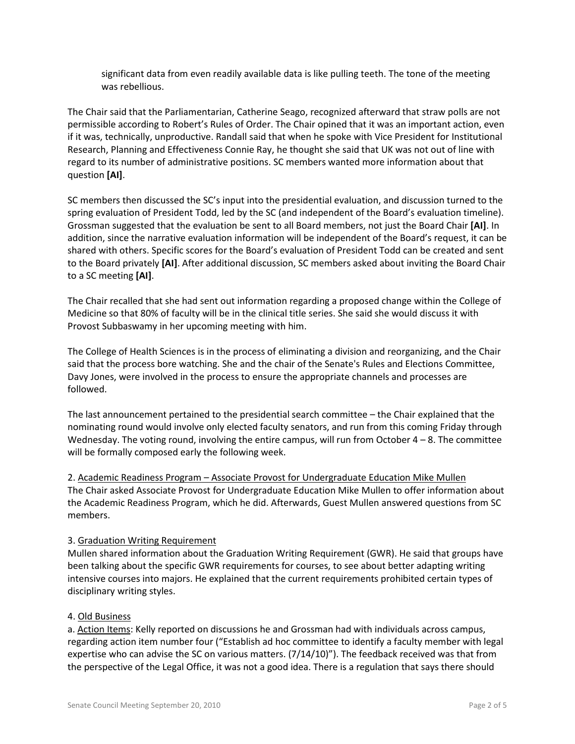significant data from even readily available data is like pulling teeth. The tone of the meeting was rebellious.

The Chair said that the Parliamentarian, Catherine Seago, recognized afterward that straw polls are not permissible according to Robert's Rules of Order. The Chair opined that it was an important action, even if it was, technically, unproductive. Randall said that when he spoke with Vice President for Institutional Research, Planning and Effectiveness Connie Ray, he thought she said that UK was not out of line with regard to its number of administrative positions. SC members wanted more information about that question **[AI]**.

SC members then discussed the SC's input into the presidential evaluation, and discussion turned to the spring evaluation of President Todd, led by the SC (and independent of the Board's evaluation timeline). Grossman suggested that the evaluation be sent to all Board members, not just the Board Chair **[AI]**. In addition, since the narrative evaluation information will be independent of the Board's request, it can be shared with others. Specific scores for the Board's evaluation of President Todd can be created and sent to the Board privately **[AI]**. After additional discussion, SC members asked about inviting the Board Chair to a SC meeting **[AI]**.

The Chair recalled that she had sent out information regarding a proposed change within the College of Medicine so that 80% of faculty will be in the clinical title series. She said she would discuss it with Provost Subbaswamy in her upcoming meeting with him.

The College of Health Sciences is in the process of eliminating a division and reorganizing, and the Chair said that the process bore watching. She and the chair of the Senate's Rules and Elections Committee, Davy Jones, were involved in the process to ensure the appropriate channels and processes are followed.

The last announcement pertained to the presidential search committee – the Chair explained that the nominating round would involve only elected faculty senators, and run from this coming Friday through Wednesday. The voting round, involving the entire campus, will run from October  $4 - 8$ . The committee will be formally composed early the following week.

2. Academic Readiness Program – Associate Provost for Undergraduate Education Mike Mullen The Chair asked Associate Provost for Undergraduate Education Mike Mullen to offer information about the Academic Readiness Program, which he did. Afterwards, Guest Mullen answered questions from SC members.

## 3. Graduation Writing Requirement

Mullen shared information about the Graduation Writing Requirement (GWR). He said that groups have been talking about the specific GWR requirements for courses, to see about better adapting writing intensive courses into majors. He explained that the current requirements prohibited certain types of disciplinary writing styles.

## 4. Old Business

a. Action Items: Kelly reported on discussions he and Grossman had with individuals across campus, regarding action item number four ("Establish ad hoc committee to identify a faculty member with legal expertise who can advise the SC on various matters. (7/14/10)"). The feedback received was that from the perspective of the Legal Office, it was not a good idea. There is a regulation that says there should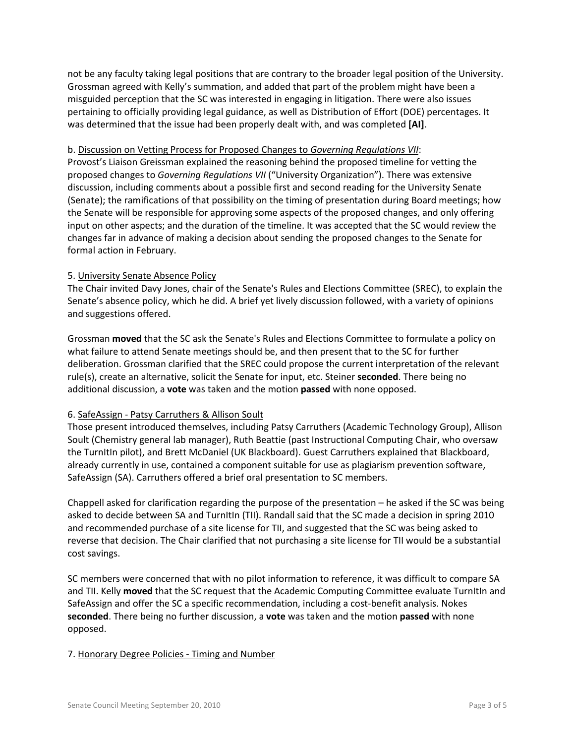not be any faculty taking legal positions that are contrary to the broader legal position of the University. Grossman agreed with Kelly's summation, and added that part of the problem might have been a misguided perception that the SC was interested in engaging in litigation. There were also issues pertaining to officially providing legal guidance, as well as Distribution of Effort (DOE) percentages. It was determined that the issue had been properly dealt with, and was completed **[AI]**.

## b. Discussion on Vetting Process for Proposed Changes to *Governing Regulations VII*:

Provost's Liaison Greissman explained the reasoning behind the proposed timeline for vetting the proposed changes to *Governing Regulations VII* ("University Organization"). There was extensive discussion, including comments about a possible first and second reading for the University Senate (Senate); the ramifications of that possibility on the timing of presentation during Board meetings; how the Senate will be responsible for approving some aspects of the proposed changes, and only offering input on other aspects; and the duration of the timeline. It was accepted that the SC would review the changes far in advance of making a decision about sending the proposed changes to the Senate for formal action in February.

## 5. University Senate Absence Policy

The Chair invited Davy Jones, chair of the Senate's Rules and Elections Committee (SREC), to explain the Senate's absence policy, which he did. A brief yet lively discussion followed, with a variety of opinions and suggestions offered.

Grossman **moved** that the SC ask the Senate's Rules and Elections Committee to formulate a policy on what failure to attend Senate meetings should be, and then present that to the SC for further deliberation. Grossman clarified that the SREC could propose the current interpretation of the relevant rule(s), create an alternative, solicit the Senate for input, etc. Steiner **seconded**. There being no additional discussion, a **vote** was taken and the motion **passed** with none opposed.

## 6. SafeAssign - Patsy Carruthers & Allison Soult

Those present introduced themselves, including Patsy Carruthers (Academic Technology Group), Allison Soult (Chemistry general lab manager), Ruth Beattie (past Instructional Computing Chair, who oversaw the TurnItIn pilot), and Brett McDaniel (UK Blackboard). Guest Carruthers explained that Blackboard, already currently in use, contained a component suitable for use as plagiarism prevention software, SafeAssign (SA). Carruthers offered a brief oral presentation to SC members.

Chappell asked for clarification regarding the purpose of the presentation – he asked if the SC was being asked to decide between SA and TurnItIn (TII). Randall said that the SC made a decision in spring 2010 and recommended purchase of a site license for TII, and suggested that the SC was being asked to reverse that decision. The Chair clarified that not purchasing a site license for TII would be a substantial cost savings.

SC members were concerned that with no pilot information to reference, it was difficult to compare SA and TII. Kelly **moved** that the SC request that the Academic Computing Committee evaluate TurnItIn and SafeAssign and offer the SC a specific recommendation, including a cost-benefit analysis. Nokes **seconded**. There being no further discussion, a **vote** was taken and the motion **passed** with none opposed.

## 7. Honorary Degree Policies - Timing and Number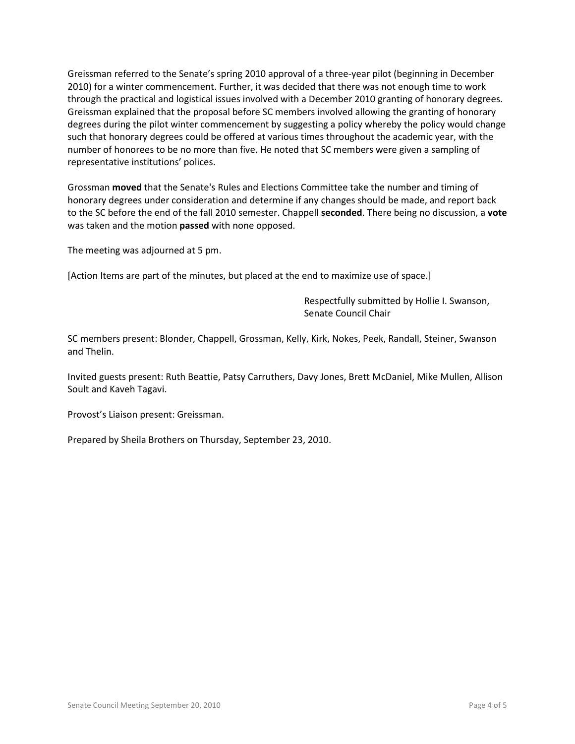Greissman referred to the Senate's spring 2010 approval of a three-year pilot (beginning in December 2010) for a winter commencement. Further, it was decided that there was not enough time to work through the practical and logistical issues involved with a December 2010 granting of honorary degrees. Greissman explained that the proposal before SC members involved allowing the granting of honorary degrees during the pilot winter commencement by suggesting a policy whereby the policy would change such that honorary degrees could be offered at various times throughout the academic year, with the number of honorees to be no more than five. He noted that SC members were given a sampling of representative institutions' polices.

Grossman **moved** that the Senate's Rules and Elections Committee take the number and timing of honorary degrees under consideration and determine if any changes should be made, and report back to the SC before the end of the fall 2010 semester. Chappell **seconded**. There being no discussion, a **vote** was taken and the motion **passed** with none opposed.

The meeting was adjourned at 5 pm.

[Action Items are part of the minutes, but placed at the end to maximize use of space.]

Respectfully submitted by Hollie I. Swanson, Senate Council Chair

SC members present: Blonder, Chappell, Grossman, Kelly, Kirk, Nokes, Peek, Randall, Steiner, Swanson and Thelin.

Invited guests present: Ruth Beattie, Patsy Carruthers, Davy Jones, Brett McDaniel, Mike Mullen, Allison Soult and Kaveh Tagavi.

Provost's Liaison present: Greissman.

Prepared by Sheila Brothers on Thursday, September 23, 2010.